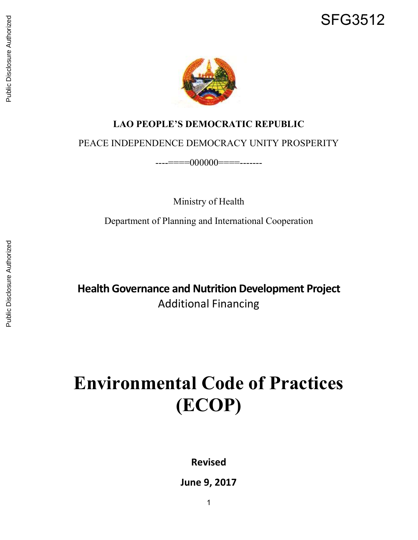

## LAO PEOPLE'S DEMOCRATIC REPUBLIC

PEACE INDEPENDENCE DEMOCRACY UNITY PROSPERITY

----====000000====-------

Ministry of Health

Department of Planning and International Cooperation

Health Governance and Nutrition Development Project Additional Financing

## Environmental Code of Practices (ECOP)

Revised

June 9, 2017

1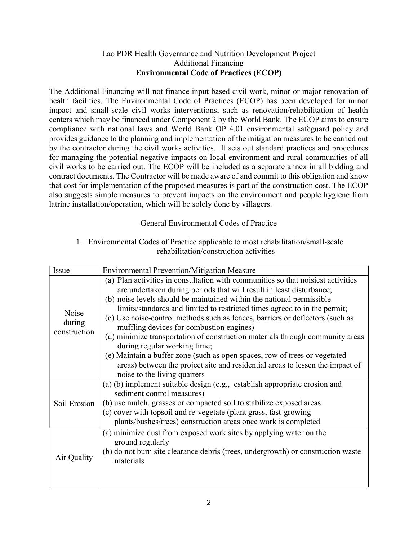## Lao PDR Health Governance and Nutrition Development Project Additional Financing Environmental Code of Practices (ECOP)

The Additional Financing will not finance input based civil work, minor or major renovation of health facilities. The Environmental Code of Practices (ECOP) has been developed for minor impact and small-scale civil works interventions, such as renovation/rehabilitation of health centers which may be financed under Component 2 by the World Bank. The ECOP aims to ensure compliance with national laws and World Bank OP 4.01 environmental safeguard policy and provides guidance to the planning and implementation of the mitigation measures to be carried out by the contractor during the civil works activities. It sets out standard practices and procedures for managing the potential negative impacts on local environment and rural communities of all civil works to be carried out. The ECOP will be included as a separate annex in all bidding and contract documents. The Contractor will be made aware of and commit to this obligation and know that cost for implementation of the proposed measures is part of the construction cost. The ECOP also suggests simple measures to prevent impacts on the environment and people hygiene from latrine installation/operation, which will be solely done by villagers.

General Environmental Codes of Practice

1. Environmental Codes of Practice applicable to most rehabilitation/small-scale rehabilitation/construction activities

| Issue                           | <b>Environmental Prevention/Mitigation Measure</b>                                                                                                                                                                                                                                                                                                                                                                                                                                                                                                                                                                                                                                                                                                          |
|---------------------------------|-------------------------------------------------------------------------------------------------------------------------------------------------------------------------------------------------------------------------------------------------------------------------------------------------------------------------------------------------------------------------------------------------------------------------------------------------------------------------------------------------------------------------------------------------------------------------------------------------------------------------------------------------------------------------------------------------------------------------------------------------------------|
| Noise<br>during<br>construction | (a) Plan activities in consultation with communities so that noisiest activities<br>are undertaken during periods that will result in least disturbance;<br>(b) noise levels should be maintained within the national permissible<br>limits/standards and limited to restricted times agreed to in the permit;<br>(c) Use noise-control methods such as fences, barriers or deflectors (such as<br>muffling devices for combustion engines)<br>(d) minimize transportation of construction materials through community areas<br>during regular working time;<br>(e) Maintain a buffer zone (such as open spaces, row of trees or vegetated<br>areas) between the project site and residential areas to lessen the impact of<br>noise to the living quarters |
| Soil Erosion                    | (a) (b) implement suitable design (e.g., establish appropriate erosion and<br>sediment control measures)<br>(b) use mulch, grasses or compacted soil to stabilize exposed areas<br>(c) cover with topsoil and re-vegetate (plant grass, fast-growing<br>plants/bushes/trees) construction areas once work is completed                                                                                                                                                                                                                                                                                                                                                                                                                                      |
| Air Quality                     | (a) minimize dust from exposed work sites by applying water on the<br>ground regularly<br>(b) do not burn site clearance debris (trees, undergrowth) or construction waste<br>materials                                                                                                                                                                                                                                                                                                                                                                                                                                                                                                                                                                     |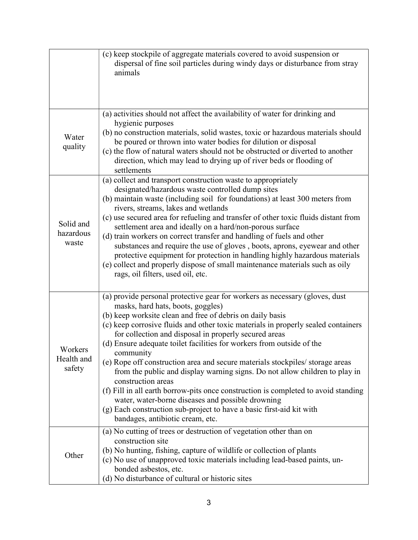|                                 | (c) keep stockpile of aggregate materials covered to avoid suspension or<br>dispersal of fine soil particles during windy days or disturbance from stray<br>animals                                                                                                                                                                                                                                                                                                                                                                                                                                                                                                                                                                                                                                                                                           |
|---------------------------------|---------------------------------------------------------------------------------------------------------------------------------------------------------------------------------------------------------------------------------------------------------------------------------------------------------------------------------------------------------------------------------------------------------------------------------------------------------------------------------------------------------------------------------------------------------------------------------------------------------------------------------------------------------------------------------------------------------------------------------------------------------------------------------------------------------------------------------------------------------------|
| Water<br>quality                | (a) activities should not affect the availability of water for drinking and<br>hygienic purposes<br>(b) no construction materials, solid wastes, toxic or hazardous materials should<br>be poured or thrown into water bodies for dilution or disposal<br>(c) the flow of natural waters should not be obstructed or diverted to another<br>direction, which may lead to drying up of river beds or flooding of<br>settlements                                                                                                                                                                                                                                                                                                                                                                                                                                |
| Solid and<br>hazardous<br>waste | (a) collect and transport construction waste to appropriately<br>designated/hazardous waste controlled dump sites<br>(b) maintain waste (including soil for foundations) at least 300 meters from<br>rivers, streams, lakes and wetlands<br>(c) use secured area for refueling and transfer of other toxic fluids distant from<br>settlement area and ideally on a hard/non-porous surface<br>(d) train workers on correct transfer and handling of fuels and other<br>substances and require the use of gloves, boots, aprons, eyewear and other<br>protective equipment for protection in handling highly hazardous materials<br>(e) collect and properly dispose of small maintenance materials such as oily<br>rags, oil filters, used oil, etc.                                                                                                          |
| Workers<br>Health and<br>safety | (a) provide personal protective gear for workers as necessary (gloves, dust<br>masks, hard hats, boots, goggles)<br>(b) keep worksite clean and free of debris on daily basis<br>(c) keep corrosive fluids and other toxic materials in properly sealed containers<br>for collection and disposal in properly secured areas<br>(d) Ensure adequate toilet facilities for workers from outside of the<br>community<br>(e) Rope off construction area and secure materials stockpiles/storage areas<br>from the public and display warning signs. Do not allow children to play in<br>construction areas<br>(f) Fill in all earth borrow-pits once construction is completed to avoid standing<br>water, water-borne diseases and possible drowning<br>(g) Each construction sub-project to have a basic first-aid kit with<br>bandages, antibiotic cream, etc. |
| Other                           | (a) No cutting of trees or destruction of vegetation other than on<br>construction site<br>(b) No hunting, fishing, capture of wildlife or collection of plants<br>(c) No use of unapproved toxic materials including lead-based paints, un-<br>bonded asbestos, etc.<br>(d) No disturbance of cultural or historic sites                                                                                                                                                                                                                                                                                                                                                                                                                                                                                                                                     |